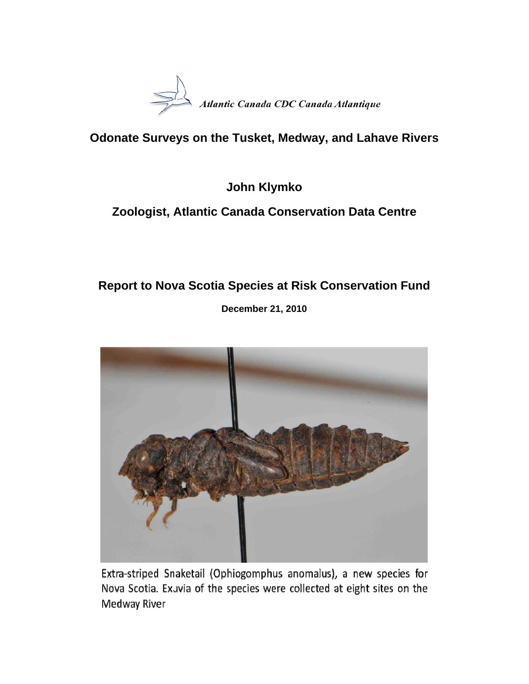

# **Odonate Surveys on the Tusket, Medway, and Lahave Rivers**

**John Klymko** 

# **Zoologist, Atlantic Canada Conservation Data Centre**

# **Report to Nova Scotia Species at Risk Conservation Fund**

**December 21, 2010** 



Extra-striped Snaketail (Ophiogomphus anomalus), a new species for Nova Scotia. Exuvia of the species were collected at eight sites on the Medway River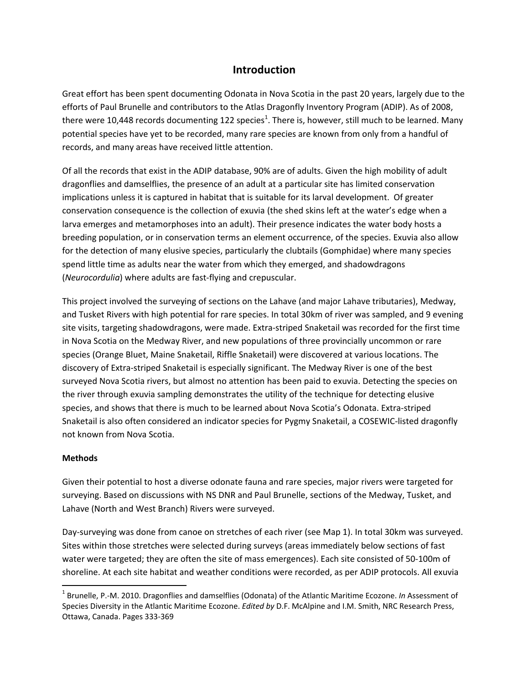# **Introduction**

Great effort has been spent documenting Odonata in Nova Scotia in the past 20 years, largely due to the efforts of Paul Brunelle and contributors to the Atlas Dragonfly Inventory Program (ADIP). As of 2008, there were 10,448 records documenting 122 species<sup>1</sup>. There is, however, still much to be learned. Many potential species have yet to be recorded, many rare species are known from only from a handful of records, and many areas have received little attention.

Of all the records that exist in the ADIP database, 90% are of adults. Given the high mobility of adult dragonflies and damselflies, the presence of an adult at a particular site has limited conservation implications unless it is captured in habitat that is suitable for its larval development. Of greater conservation consequence is the collection of exuvia (the shed skins left at the water's edge when a larva emerges and metamorphoses into an adult). Their presence indicates the water body hosts a breeding population, or in conservation terms an element occurrence, of the species. Exuvia also allow for the detection of many elusive species, particularly the clubtails (Gomphidae) where many species spend little time as adults near the water from which they emerged, and shadowdragons (*Neurocordulia*) where adults are fast‐flying and crepuscular.

This project involved the surveying of sections on the Lahave (and major Lahave tributaries), Medway, and Tusket Rivers with high potential for rare species. In total 30km of river was sampled, and 9 evening site visits, targeting shadowdragons, were made. Extra‐striped Snaketail was recorded for the first time in Nova Scotia on the Medway River, and new populations of three provincially uncommon or rare species (Orange Bluet, Maine Snaketail, Riffle Snaketail) were discovered at various locations. The discovery of Extra‐striped Snaketail is especially significant. The Medway River is one of the best surveyed Nova Scotia rivers, but almost no attention has been paid to exuvia. Detecting the species on the river through exuvia sampling demonstrates the utility of the technique for detecting elusive species, and shows that there is much to be learned about Nova Scotia's Odonata. Extra-striped Snaketail is also often considered an indicator species for Pygmy Snaketail, a COSEWIC‐listed dragonfly not known from Nova Scotia.

#### **Methods**

Given their potential to host a diverse odonate fauna and rare species, major rivers were targeted for surveying. Based on discussions with NS DNR and Paul Brunelle, sections of the Medway, Tusket, and Lahave (North and West Branch) Rivers were surveyed.

Day‐surveying was done from canoe on stretches of each river (see Map 1). In total 30km was surveyed. Sites within those stretches were selected during surveys (areas immediately below sections of fast water were targeted; they are often the site of mass emergences). Each site consisted of 50-100m of shoreline. At each site habitat and weather conditions were recorded, as per ADIP protocols. All exuvia

<sup>1</sup> Brunelle, P.‐M. 2010. Dragonflies and damselflies (Odonata) of the Atlantic Maritime Ecozone. *In* Assessment of Species Diversity in the Atlantic Maritime Ecozone. *Edited by* D.F. McAlpine and I.M. Smith, NRC Research Press, Ottawa, Canada. Pages 333‐369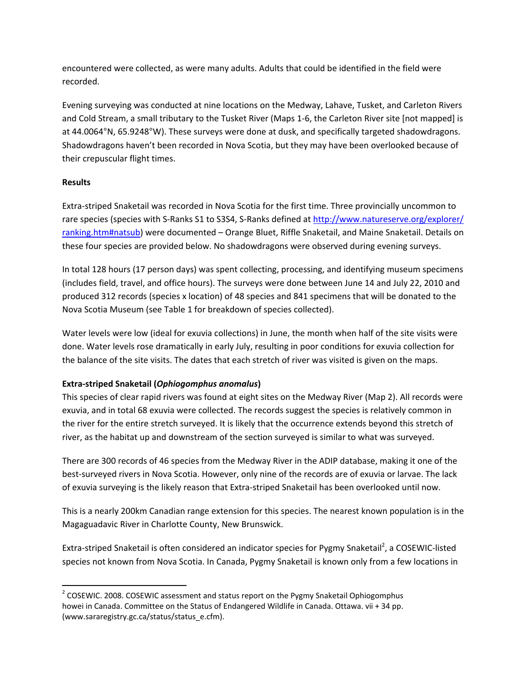encountered were collected, as were many adults. Adults that could be identified in the field were recorded.

Evening surveying was conducted at nine locations on the Medway, Lahave, Tusket, and Carleton Rivers and Cold Stream, a small tributary to the Tusket River (Maps 1‐6, the Carleton River site [not mapped] is at 44.0064°N, 65.9248°W). These surveys were done at dusk, and specifically targeted shadowdragons. Shadowdragons haven't been recorded in Nova Scotia, but they may have been overlooked because of their crepuscular flight times.

### **Results**

Extra‐striped Snaketail was recorded in Nova Scotia for the first time. Three provincially uncommon to rare species (species with S-Ranks S1 to S3S4, S-Ranks defined at http://www.natureserve.org/explorer/ ranking.htm#natsub) were documented – Orange Bluet, Riffle Snaketail, and Maine Snaketail. Details on these four species are provided below. No shadowdragons were observed during evening surveys.

In total 128 hours (17 person days) was spent collecting, processing, and identifying museum specimens (includes field, travel, and office hours). The surveys were done between June 14 and July 22, 2010 and produced 312 records (species x location) of 48 species and 841 specimens that will be donated to the Nova Scotia Museum (see Table 1 for breakdown of species collected).

Water levels were low (ideal for exuvia collections) in June, the month when half of the site visits were done. Water levels rose dramatically in early July, resulting in poor conditions for exuvia collection for the balance of the site visits. The dates that each stretch of river was visited is given on the maps.

## **Extra‐striped Snaketail (***Ophiogomphus anomalus***)**

This species of clear rapid rivers was found at eight sites on the Medway River (Map 2). All records were exuvia, and in total 68 exuvia were collected. The records suggest the species is relatively common in the river for the entire stretch surveyed. It is likely that the occurrence extends beyond this stretch of river, as the habitat up and downstream of the section surveyed is similar to what was surveyed.

There are 300 records of 46 species from the Medway River in the ADIP database, making it one of the best-surveyed rivers in Nova Scotia. However, only nine of the records are of exuvia or larvae. The lack of exuvia surveying is the likely reason that Extra‐striped Snaketail has been overlooked until now.

This is a nearly 200km Canadian range extension for this species. The nearest known population is in the Magaguadavic River in Charlotte County, New Brunswick.

Extra-striped Snaketail is often considered an indicator species for Pygmy Snaketail<sup>2</sup>, a COSEWIC-listed species not known from Nova Scotia. In Canada, Pygmy Snaketail is known only from a few locations in

  $2$  COSEWIC. 2008. COSEWIC assessment and status report on the Pygmy Snaketail Ophiogomphus howei in Canada. Committee on the Status of Endangered Wildlife in Canada. Ottawa. vii + 34 pp. (www.sararegistry.gc.ca/status/status\_e.cfm).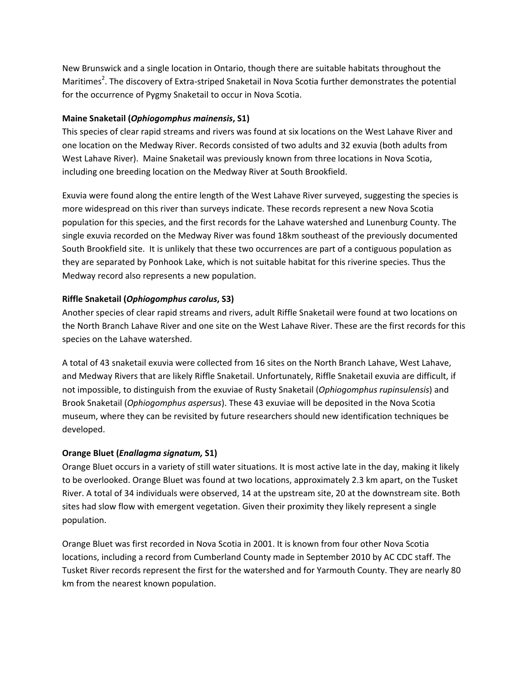New Brunswick and a single location in Ontario, though there are suitable habitats throughout the Maritimes<sup>2</sup>. The discovery of Extra-striped Snaketail in Nova Scotia further demonstrates the potential for the occurrence of Pygmy Snaketail to occur in Nova Scotia.

### **Maine Snaketail (***Ophiogomphus mainensis***, S1)**

This species of clear rapid streams and rivers was found at six locations on the West Lahave River and one location on the Medway River. Records consisted of two adults and 32 exuvia (both adults from West Lahave River). Maine Snaketail was previously known from three locations in Nova Scotia, including one breeding location on the Medway River at South Brookfield.

Exuvia were found along the entire length of the West Lahave River surveyed, suggesting the species is more widespread on this river than surveys indicate. These records represent a new Nova Scotia population for this species, and the first records for the Lahave watershed and Lunenburg County. The single exuvia recorded on the Medway River was found 18km southeast of the previously documented South Brookfield site. It is unlikely that these two occurrences are part of a contiguous population as they are separated by Ponhook Lake, which is not suitable habitat for this riverine species. Thus the Medway record also represents a new population.

### **Riffle Snaketail (***Ophiogomphus carolus***, S3)**

Another species of clear rapid streams and rivers, adult Riffle Snaketail were found at two locations on the North Branch Lahave River and one site on the West Lahave River. These are the first records for this species on the Lahave watershed.

A total of 43 snaketail exuvia were collected from 16 sites on the North Branch Lahave, West Lahave, and Medway Rivers that are likely Riffle Snaketail. Unfortunately, Riffle Snaketail exuvia are difficult, if not impossible, to distinguish from the exuviae of Rusty Snaketail (*Ophiogomphus rupinsulensis*) and Brook Snaketail (*Ophiogomphus aspersus*). These 43 exuviae will be deposited in the Nova Scotia museum, where they can be revisited by future researchers should new identification techniques be developed.

#### **Orange Bluet (***Enallagma signatum,* **S1)**

Orange Bluet occurs in a variety of still water situations. It is most active late in the day, making it likely to be overlooked. Orange Bluet was found at two locations, approximately 2.3 km apart, on the Tusket River. A total of 34 individuals were observed, 14 at the upstream site, 20 at the downstream site. Both sites had slow flow with emergent vegetation. Given their proximity they likely represent a single population.

Orange Bluet was first recorded in Nova Scotia in 2001. It is known from four other Nova Scotia locations, including a record from Cumberland County made in September 2010 by AC CDC staff. The Tusket River records represent the first for the watershed and for Yarmouth County. They are nearly 80 km from the nearest known population.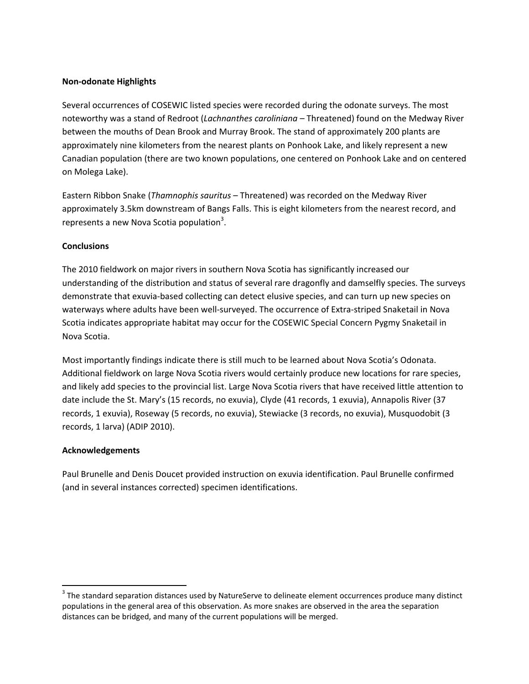#### **Non‐odonate Highlights**

Several occurrences of COSEWIC listed species were recorded during the odonate surveys. The most noteworthy was a stand of Redroot (*Lachnanthes caroliniana –* Threatened) found on the Medway River between the mouths of Dean Brook and Murray Brook. The stand of approximately 200 plants are approximately nine kilometers from the nearest plants on Ponhook Lake, and likely represent a new Canadian population (there are two known populations, one centered on Ponhook Lake and on centered on Molega Lake).

Eastern Ribbon Snake (*Thamnophis sauritus* – Threatened) was recorded on the Medway River approximately 3.5km downstream of Bangs Falls. This is eight kilometers from the nearest record, and represents a new Nova Scotia population<sup>3</sup>.

#### **Conclusions**

The 2010 fieldwork on major rivers in southern Nova Scotia has significantly increased our understanding of the distribution and status of several rare dragonfly and damselfly species. The surveys demonstrate that exuvia‐based collecting can detect elusive species, and can turn up new species on waterways where adults have been well‐surveyed. The occurrence of Extra‐striped Snaketail in Nova Scotia indicates appropriate habitat may occur for the COSEWIC Special Concern Pygmy Snaketail in Nova Scotia.

Most importantly findings indicate there is still much to be learned about Nova Scotia's Odonata. Additional fieldwork on large Nova Scotia rivers would certainly produce new locations for rare species, and likely add species to the provincial list. Large Nova Scotia rivers that have received little attention to date include the St. Mary's (15 records, no exuvia), Clyde (41 records, 1 exuvia), Annapolis River (37 records, 1 exuvia), Roseway (5 records, no exuvia), Stewiacke (3 records, no exuvia), Musquodobit (3 records, 1 larva) (ADIP 2010).

#### **Acknowledgements**

Paul Brunelle and Denis Doucet provided instruction on exuvia identification. Paul Brunelle confirmed (and in several instances corrected) specimen identifications.

 $3$  The standard separation distances used by NatureServe to delineate element occurrences produce many distinct populations in the general area of this observation. As more snakes are observed in the area the separation distances can be bridged, and many of the current populations will be merged.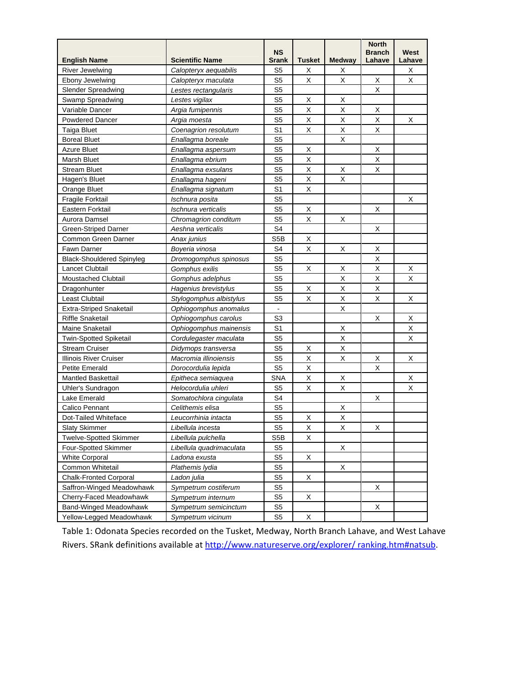| <b>English Name</b>              | <b>Scientific Name</b>   | <b>NS</b><br><b>Srank</b> | Tusket | <b>Medway</b> | <b>North</b><br><b>Branch</b><br>Lahave | West<br>Lahave |
|----------------------------------|--------------------------|---------------------------|--------|---------------|-----------------------------------------|----------------|
| River Jewelwing                  | Calopteryx aequabilis    | S5                        | х      | х             |                                         | х              |
| Ebony Jewelwing                  | Calopteryx maculata      | S5                        | X      | Χ             | X                                       | X              |
| <b>Slender Spreadwing</b>        | Lestes rectangularis     | S <sub>5</sub>            |        |               | X                                       |                |
| Swamp Spreadwing                 | Lestes vigilax           | S5                        | X      | Х             |                                         |                |
| Variable Dancer                  | Argia fumipennis         | S <sub>5</sub>            | Χ      | X             | Х                                       |                |
| Powdered Dancer                  | Argia moesta             | S <sub>5</sub>            | X      | X             | X                                       | X              |
| Taiga Bluet                      | Coenagrion resolutum     | S <sub>1</sub>            | Χ      | X             | X                                       |                |
| <b>Boreal Bluet</b>              | Enallagma boreale        | S <sub>5</sub>            |        | Χ             |                                         |                |
| <b>Azure Bluet</b>               | Enallagma aspersum       | S <sub>5</sub>            | X      |               | X                                       |                |
| Marsh Bluet                      | Enallagma ebrium         | S5                        | X      |               | Χ                                       |                |
| <b>Stream Bluet</b>              | Enallagma exsulans       | S <sub>5</sub>            | X      | X             | Χ                                       |                |
| Hagen's Bluet                    | Enallagma hageni         | S <sub>5</sub>            | X.     | X             |                                         |                |
| Orange Bluet                     | Enallagma signatum       | S <sub>1</sub>            | X      |               |                                         |                |
| <b>Fragile Forktail</b>          | Ischnura posita          | S <sub>5</sub>            |        |               |                                         | Х              |
| Eastern Forktail                 | Ischnura verticalis      | S5                        | X      |               | Х                                       |                |
| Aurora Damsel                    | Chromagrion conditum     | S <sub>5</sub>            | X      | Х             |                                         |                |
| Green-Striped Darner             | Aeshna verticalis        | S <sub>4</sub>            |        |               | Х                                       |                |
| Common Green Darner              | Anax junius              | S <sub>5</sub> B          | X      |               |                                         |                |
| Fawn Darner                      | Boyeria vinosa           | S4                        | X      | X             | X                                       |                |
| <b>Black-Shouldered Spinyleg</b> | Dromogomphus spinosus    | S <sub>5</sub>            |        |               | X                                       |                |
| Lancet Clubtail                  | Gomphus exilis           | S <sub>5</sub>            | X      | X             | X                                       | X              |
| Moustached Clubtail              | Gomphus adelphus         | S <sub>5</sub>            |        | X             | Χ                                       | X              |
| Dragonhunter                     | Hagenius brevistylus     | S <sub>5</sub>            | X      | X             | X                                       |                |
| Least Clubtail                   | Stylogomphus albistylus  | S <sub>5</sub>            | X      | X             | X                                       | X              |
| <b>Extra-Striped Snaketail</b>   | Ophiogomphus anomalus    |                           |        | $\mathsf X$   |                                         |                |
| <b>Riffle Snaketail</b>          | Ophiogomphus carolus     | S3                        |        |               | Х                                       | X              |
| Maine Snaketail                  | Ophiogomphus mainensis   | S <sub>1</sub>            |        | X             |                                         | X              |
| Twin-Spotted Spiketail           | Cordulegaster maculata   | S5                        |        | X             |                                         | X              |
| <b>Stream Cruiser</b>            | Didymops transversa      | S <sub>5</sub>            | X      | X             |                                         |                |
| Illinois River Cruiser           | Macromia illinoiensis    | S <sub>5</sub>            | X      | X             | X                                       | X              |
| <b>Petite Emerald</b>            | Dorocordulia lepida      | S <sub>5</sub>            | Χ      |               | X                                       |                |
| <b>Mantled Baskettail</b>        | Epitheca semiaquea       | <b>SNA</b>                | X      | Х             |                                         | X              |
| <b>Uhler's Sundragon</b>         | Helocordulia uhleri      | S <sub>5</sub>            | X      | X             |                                         | X              |
| Lake Emerald                     | Somatochlora cingulata   | S4                        |        |               | X                                       |                |
| Calico Pennant                   | Celithemis elisa         | S <sub>5</sub>            |        | X             |                                         |                |
| Dot-Tailed Whiteface             | Leucorrhinia intacta     | S <sub>5</sub>            | X      | X             |                                         |                |
| Slaty Skimmer                    | Libellula incesta        | S5                        | X      | X             | X                                       |                |
| <b>Twelve-Spotted Skimmer</b>    | Libellula pulchella      | S <sub>5</sub> B          | X      |               |                                         |                |
| Four-Spotted Skimmer             | Libellula quadrimaculata | S <sub>5</sub>            |        | X             |                                         |                |
| <b>White Corporal</b>            | Ladona exusta            | S <sub>5</sub>            | X      |               |                                         |                |
| Common Whitetail                 | Plathemis lydia          | S <sub>5</sub>            |        | X             |                                         |                |
| <b>Chalk-Fronted Corporal</b>    | Ladon julia              | S <sub>5</sub>            | X      |               |                                         |                |
| Saffron-Winged Meadowhawk        | Sympetrum costiferum     | S <sub>5</sub>            |        |               | X                                       |                |
| Cherry-Faced Meadowhawk          | Sympetrum internum       | S <sub>5</sub>            | X      |               |                                         |                |
| <b>Band-Winged Meadowhawk</b>    | Sympetrum semicinctum    | S <sub>5</sub>            |        |               | X                                       |                |
| Yellow-Legged Meadowhawk         | Sympetrum vicinum        | S5                        | X      |               |                                         |                |

Table 1: Odonata Species recorded on the Tusket, Medway, North Branch Lahave, and West Lahave Rivers. SRank definitions available at http://www.natureserve.org/explorer/ ranking.htm#natsub.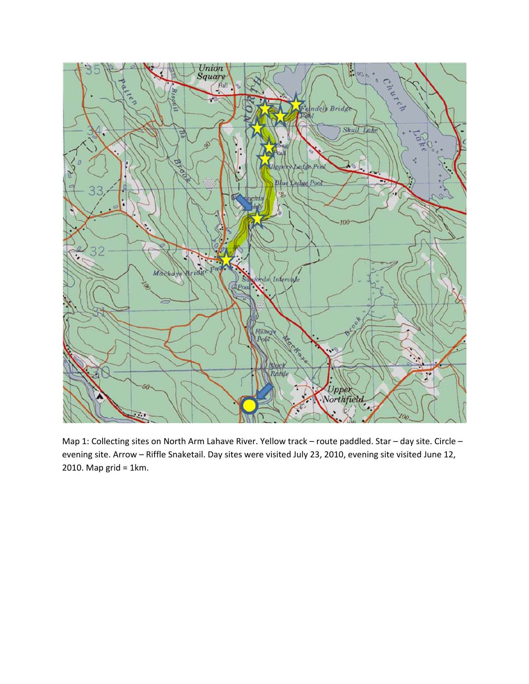

Map 1: Collecting sites on North Arm Lahave River. Yellow track – route paddled. Star – day site. Circle – evening site. Arrow – Riffle Snaketail. Day sites were visited July 23, 2010, evening site visited June 12, 2010. Map grid = 1km.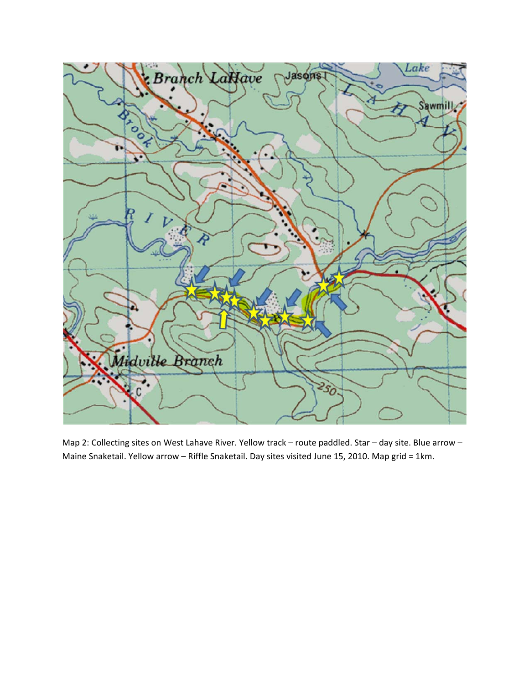

Map 2: Collecting sites on West Lahave River. Yellow track – route paddled. Star – day site. Blue arrow – Maine Snaketail. Yellow arrow – Riffle Snaketail. Day sites visited June 15, 2010. Map grid = 1km.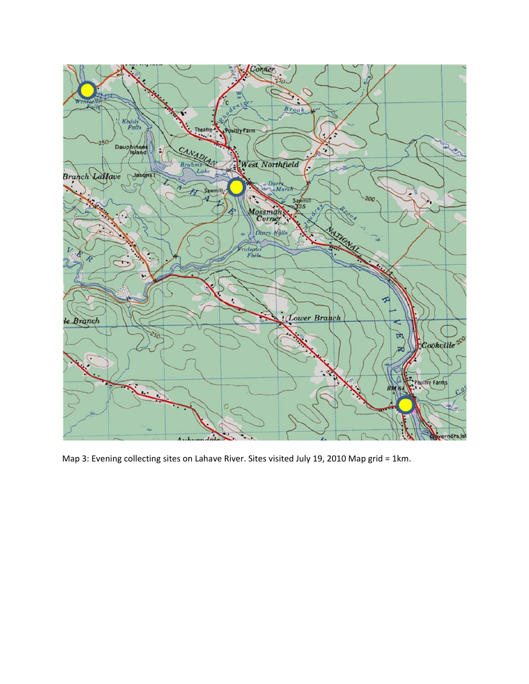

Map 3: Evening collecting sites on Lahave River. Sites visited July 19, 2010 Map grid = 1km.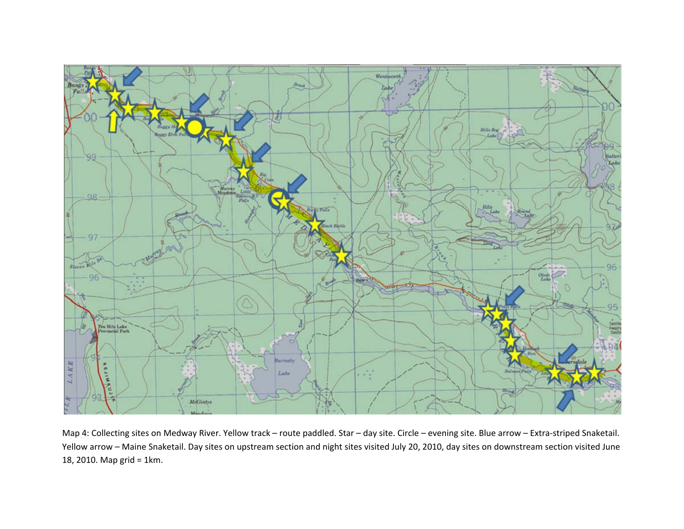

Map 4: Collecting sites on Medway River. Yellow track – route paddled. Star – day site. Circle – evening site. Blue arrow – Extra-striped Snaketail. Yellow arrow – Maine Snaketail. Day sites on upstream section and night sites visited July 20, 2010, day sites on downstream section visited June 18, 2010. Map grid <sup>=</sup> 1km.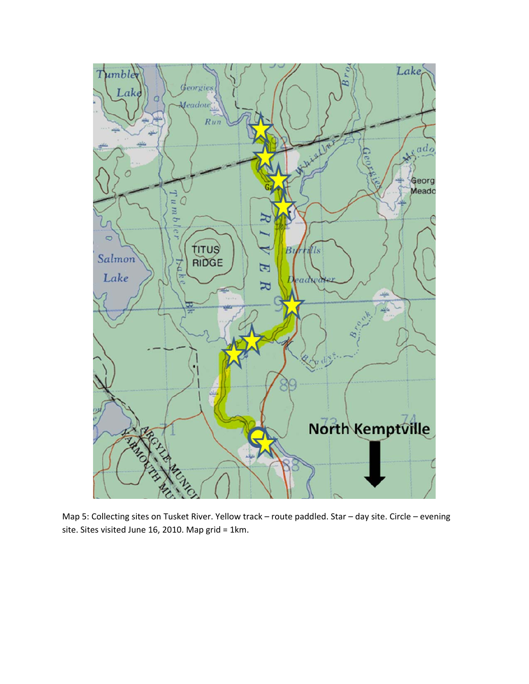

Map 5: Collecting sites on Tusket River. Yellow track – route paddled. Star – day site. Circle – evening site. Sites visited June 16, 2010. Map grid = 1km.